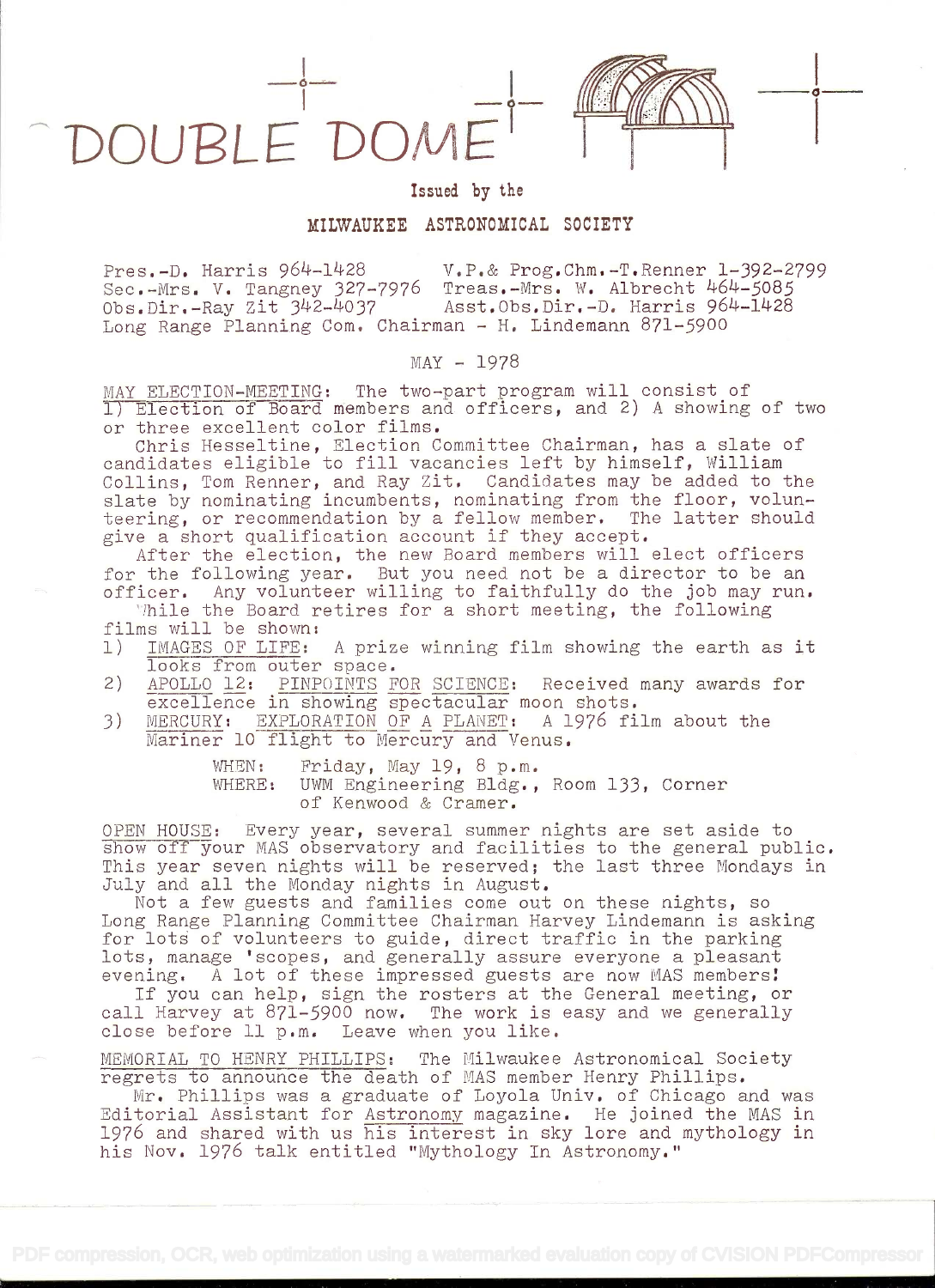DOUPLE'DOME



i barat da barat da barat da barat da barat da barat da barat da barat da barat da barat da barat da barat da

## Issued by the

## MILWAUKEE ASTRONOMICAL SOCIETY

Pres.-D. Harris 964-1428 v.P.& Prog.Chm.-T.Renner 1-392-2799 Sec.-Mrs. V. Tangney 327-7976 Treas.-Mrs. W. Albrecht 464-5085<br>Obs.Dir.-Ray Zit 342-4037 Asst.Obs.Dir.-D. Harris 964-1428 Asst.Obs.Dir.-D. Harris 964-1428 Long Range Planning Come Chairman - H. Lindemann 871-9OO

## $MAX - 1978$

MAY ELECTION-MEETING: The two-part program will consist of<br>I) Election of Board members and officers, and 2) A showing of two or three excellent color films.

Chris Hesseltine, Election Committee Chairman, has a slate of candidates eligible to fill vacancies left by himself, William Collins, Tom Renner, and Ray Zit. Candidates may be added to the slate by nominating incumbents, nominating from the floor, volunteering, or recommendation by a fellow member. The latter should<br>give a short qualification account if they accept.

After the election, the new Board members will elect officers<br>for the following year. But you need not be a director to be an officer. Any volunteer willing to faithfully do the job may run.

Thile the Board retires for a short meeting, the following<br>films will be shown:<br>1) IMAGES OF LIFE: A prize winning film showing the earth a

- IMAGES OF LIFE: A prize winning film showing the earth as it looks from outer space.
- 2) APOLLO 12: PINPOINTS FOR SCIENCE: Received many awards for excellence in showing spectacular moon shots.
- 3) MERCURY: EXPLORATION OF A PLANET: A 1976 film about the Mariner 10 flight to Mercury and Venus.

WHEN: Friday, May 19, 8 p.m. WHERE: UWM Engineering Bldg., Room 133, Corner of Kenwood & Cramer.

OPEN HOUSE: Every year, several summer nights are set aside to show off your MAS observatory and facilities to the general public. This year seven nights will be reserved; the last three Mondays in

July and all the Monday nights in August.<br>Not a few guests and families come out on these nights, so<br>Long Range Planning Committee Chairman Harvey Lindemann is asking for lots of volunteers to guide, direct traffic in the parking<br>lots, manage 'scopes, and generally assure everyone a pleasant<br>evening. A lot of these impressed guests are now MAS members!<br>If you can help, sign the rosters

MEMORIAL TO HENRY PHILLIPS: The Milwaukee Astronomical Society<br>regrets to announce the death of MAS member Henry Phillips.<br>Mr. Phillips was a graduate of Loyola Univ. of Chicago and was

Editorial Assistant for Astronomy magazine. He joined the MAS in 1976 and shared with us his interest in sky lore and mythology in his Nov. 1976 talk entitled "Mythology In Astronomy."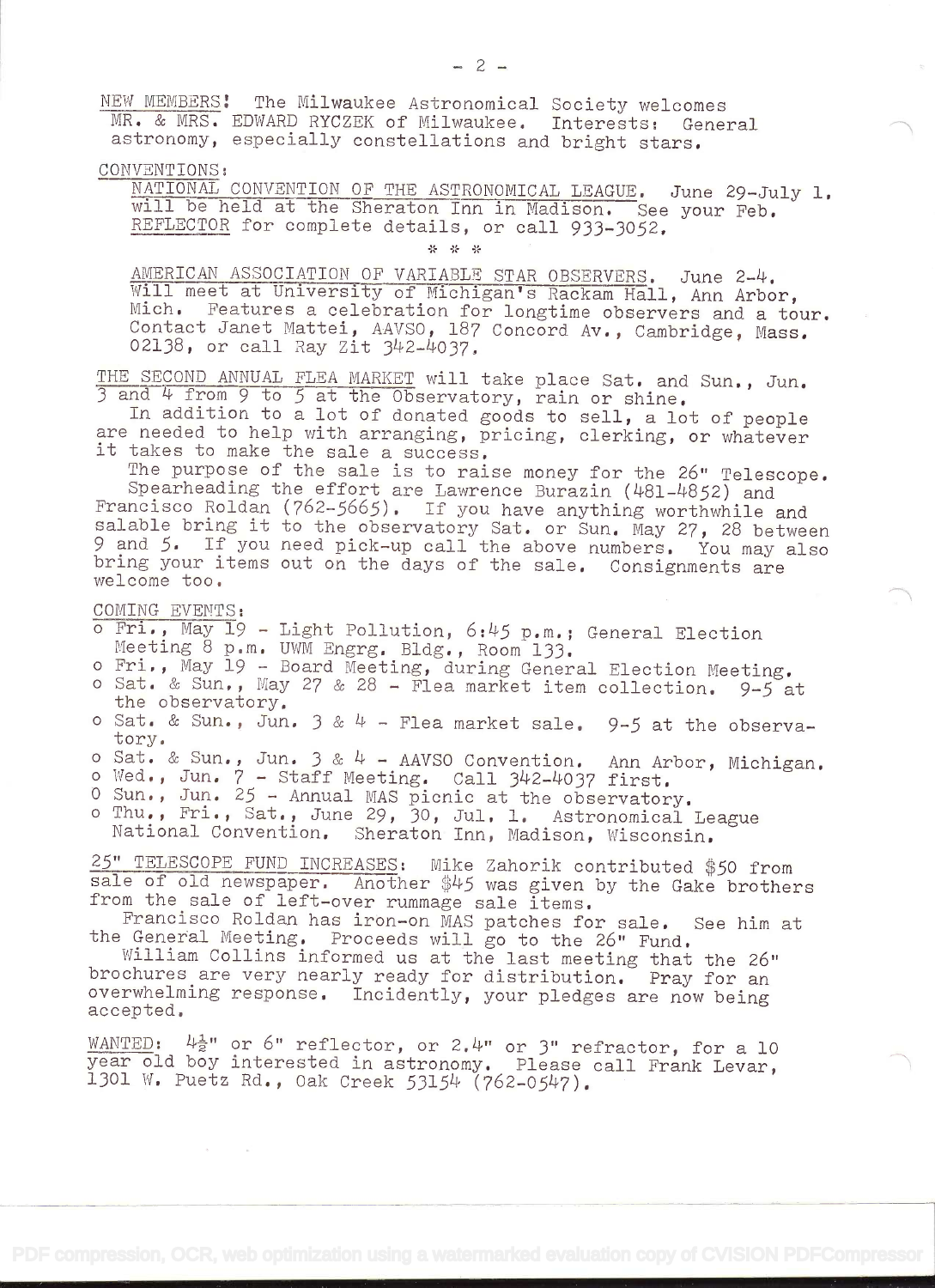NEW MEMBERS! The Milwaukee Astronomical Society welcomes MR. & MRS. EDWARD RYCZEK of Milwaukee. Interests: General astronomy, especially constellations and bright stars.

CONVENTIONS:<br>
MATIONAL CONVENTION OF THE ASTRONOMICAL LEAGUE. June 29-July 1.<br>
will be held at the Sheraton Inn in Madison. See your Feb. REFLECTOR for complete details, or call 933-3052.

\* \* \*

AMERICAN ASSOCIATION OF VARIABLE STAR OBSERVERS. June 2-4. 'ill meet at University of Michigan's Rackam Hall, Ann Arbor, Mich. Features a celebration for longtime observers and a tour. Contact Janet Mattei, AAVSO, 187 Concord Av., Cambridge, Mass. 02138, or call Ray Zit 342-4O37,

THE SECOND ANNUAL FLEA MARKET will take place Sat. and Sun., Jun. <sup>3</sup>and 4 from 9 to 5 at the Observatory, rain or shine.

In addition to a lot of donated goods to sell, a lot of people are needed to help with arranging, pricing, clerking, or whatever it takes to make the sale a success.

The purpose of the sale is to raise money for the 26" Telescope. Spearheading the effort are Lawrence Burazin (481-4852) and Francisco Roldan (762-5665). If you have anything worthwhile and salable bring it to the observatory Sat. or Sun. May 27, 28 between <sup>9</sup>and 5. If you need pick-up call the above numbers. You may also bring your items out on the days of the sale. Consignments are welcome too.

COMING EVENTS:

 $\sim$ 

- <sup>o</sup>Fri., May 19 Light Pollution, 6:45 p.m.; General Election Meeting 8 p.m. UWM Engrg. Bldg., Room 133.
- <sup>o</sup>Fri., May 19 Board Meeting, during General Election Meeting.
- o Sat. & Sun., May 27 & 28 Flea market item collection.  $9-5$  at the observatory.
- o Sat. & Sun., Jun.  $3 \& 4$  Flea market sale. 9-5 at the observatory.
- o Sat. & Sun., Jun.  $3 \& 4$  AAVSO Convention. Ann Arbor, Michigan.
- o Wed., Jun.  $7 -$  Staff Meeting. Call 342-4037 first.
- O Sun., Jun. 25 Annual MAS picnic at the observatory.
- <sup>o</sup>Thu., Fri., Sat., June 29, 30, Jul. 1. Astronomical League National Convention. Sheraton Inn, Madison, Wisconsin.

25" TELESCOPE FUND INCREASES: Mike Zahorik contributed \$50 from sale of old newspaper. Another \$45 was given by the Gake brothers from the sale of left-over rummage sale items.

Francisco Roldan has iron-on MAS patches for sale. See him at the General Meeting. Proceeds will go to the 26" Fund.

William Collins informed us at the last meeting that the 26" brochures are very nearly ready for distribution. Pray for an overwhelming response. Incidently, your pledges are now being accepted.

WANTED:  $\frac{1}{2}$ " or 6" reflector, or 2.4" or 3" refractor, for a 10 year old boy interested in astronomy. Please call Frank Levar,<br>1301 W. Puetz Rd., Oak Creek 53154 (762-0547).